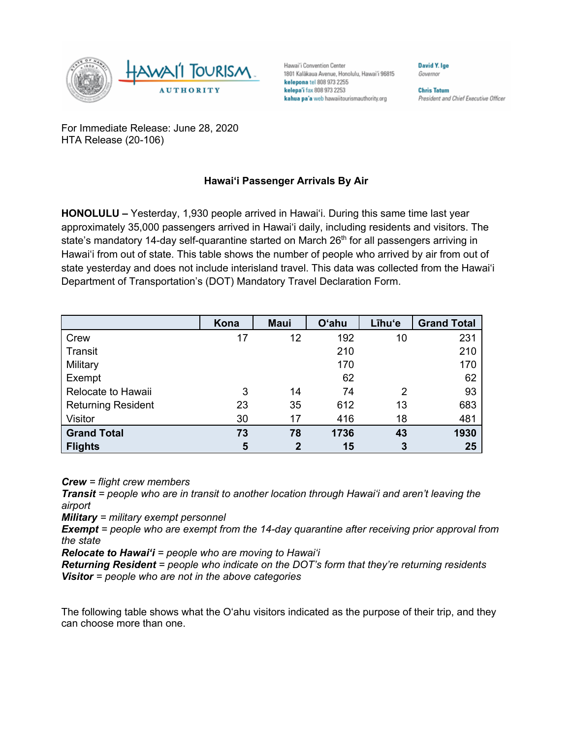

Hawai'i Convention Center 1801 Kalākaua Avenue, Honolulu, Hawai'i 96815 kelepona tel 808 973 2255 kelepa'i fax 808 973 2253 kahua pa'a web hawaiitourismauthority.org

David Y. Ige Governor

**Chris Tatum** President and Chief Executive Officer

For Immediate Release: June 28, 2020 HTA Release (20-106)

## **Hawai'i Passenger Arrivals By Air**

**HONOLULU –** Yesterday, 1,930 people arrived in Hawai'i. During this same time last year approximately 35,000 passengers arrived in Hawai'i daily, including residents and visitors. The state's mandatory 14-day self-quarantine started on March 26<sup>th</sup> for all passengers arriving in Hawai'i from out of state. This table shows the number of people who arrived by air from out of state yesterday and does not include interisland travel. This data was collected from the Hawai'i Department of Transportation's (DOT) Mandatory Travel Declaration Form.

|                           | Kona | <b>Maui</b>  | <b>O'ahu</b> | Līhu'e | <b>Grand Total</b> |
|---------------------------|------|--------------|--------------|--------|--------------------|
| Crew                      | 17   | 12           | 192          | 10     | 231                |
| Transit                   |      |              | 210          |        | 210                |
| Military                  |      |              | 170          |        | 170                |
| Exempt                    |      |              | 62           |        | 62                 |
| Relocate to Hawaii        | 3    | 14           | 74           | 2      | 93                 |
| <b>Returning Resident</b> | 23   | 35           | 612          | 13     | 683                |
| Visitor                   | 30   | 17           | 416          | 18     | 481                |
| <b>Grand Total</b>        | 73   | 78           | 1736         | 43     | 1930               |
| <b>Flights</b>            | 5    | $\mathbf{2}$ | 15           | 3      | 25                 |

*Crew = flight crew members*

*Transit = people who are in transit to another location through Hawai'i and aren't leaving the airport*

*Military = military exempt personnel*

*Exempt = people who are exempt from the 14-day quarantine after receiving prior approval from the state*

*Relocate to Hawai'i = people who are moving to Hawai'i*

*Returning Resident = people who indicate on the DOT's form that they're returning residents Visitor = people who are not in the above categories*

The following table shows what the O'ahu visitors indicated as the purpose of their trip, and they can choose more than one.